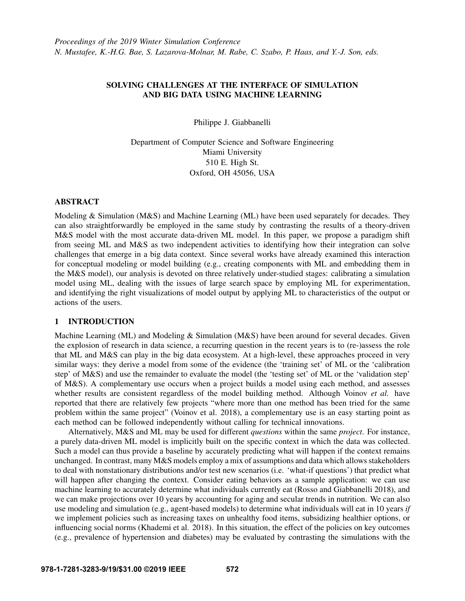## SOLVING CHALLENGES AT THE INTERFACE OF SIMULATION AND BIG DATA USING MACHINE LEARNING

Philippe J. Giabbanelli

Department of Computer Science and Software Engineering Miami University 510 E. High St. Oxford, OH 45056, USA

### ABSTRACT

Modeling & Simulation (M&S) and Machine Learning (ML) have been used separately for decades. They can also straightforwardly be employed in the same study by contrasting the results of a theory-driven M&S model with the most accurate data-driven ML model. In this paper, we propose a paradigm shift from seeing ML and M&S as two independent activities to identifying how their integration can solve challenges that emerge in a big data context. Since several works have already examined this interaction for conceptual modeling or model building (e.g., creating components with ML and embedding them in the M&S model), our analysis is devoted on three relatively under-studied stages: calibrating a simulation model using ML, dealing with the issues of large search space by employing ML for experimentation, and identifying the right visualizations of model output by applying ML to characteristics of the output or actions of the users.

# 1 INTRODUCTION

Machine Learning (ML) and Modeling & Simulation (M&S) have been around for several decades. Given the explosion of research in data science, a recurring question in the recent years is to (re-)assess the role that ML and M&S can play in the big data ecosystem. At a high-level, these approaches proceed in very similar ways: they derive a model from some of the evidence (the 'training set' of ML or the 'calibration step' of M&S) and use the remainder to evaluate the model (the 'testing set' of ML or the 'validation step' of M&S). A complementary use occurs when a project builds a model using each method, and assesses whether results are consistent regardless of the model building method. Although Voinov *et al.* have reported that there are relatively few projects "where more than one method has been tried for the same problem within the same project" [\(Voinov et al. 2018\)](#page-11-0), a complementary use is an easy starting point as each method can be followed independently without calling for technical innovations.

Alternatively, M&S and ML may be used for different *questions* within the same *project*. For instance, a purely data-driven ML model is implicitly built on the specific context in which the data was collected. Such a model can thus provide a baseline by accurately predicting what will happen if the context remains unchanged. In contrast, many M&S models employ a mix of assumptions and data which allows stakeholders to deal with nonstationary distributions and/or test new scenarios (i.e. 'what-if questions') that predict what will happen after changing the context. Consider eating behaviors as a sample application: we can use machine learning to accurately determine what individuals currently eat [\(Rosso and Giabbanelli 2018\)](#page-11-1), and we can make projections over 10 years by accounting for aging and secular trends in nutrition. We can also use modeling and simulation (e.g., agent-based models) to determine what individuals will eat in 10 years *if* we implement policies such as increasing taxes on unhealthy food items, subsidizing healthier options, or influencing social norms [\(Khademi et al. 2018\)](#page-10-0). In this situation, the effect of the policies on key outcomes (e.g., prevalence of hypertension and diabetes) may be evaluated by contrasting the simulations with the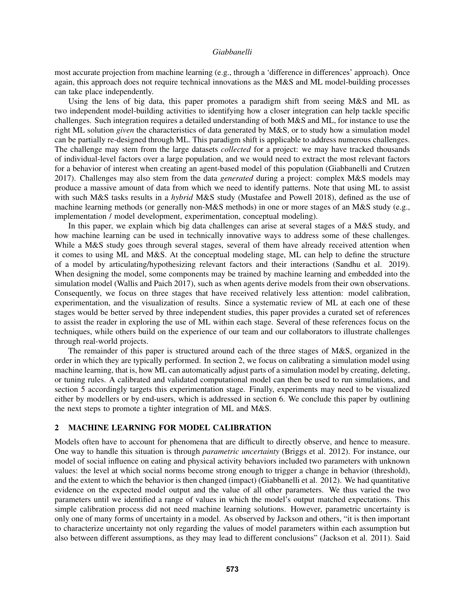most accurate projection from machine learning (e.g., through a 'difference in differences' approach). Once again, this approach does not require technical innovations as the M&S and ML model-building processes can take place independently.

Using the lens of big data, this paper promotes a paradigm shift from seeing M&S and ML as two independent model-building activities to identifying how a closer integration can help tackle specific challenges. Such integration requires a detailed understanding of both M&S and ML, for instance to use the right ML solution *given* the characteristics of data generated by M&S, or to study how a simulation model can be partially re-designed through ML. This paradigm shift is applicable to address numerous challenges. The challenge may stem from the large datasets *collected* for a project: we may have tracked thousands of individual-level factors over a large population, and we would need to extract the most relevant factors for a behavior of interest when creating an agent-based model of this population [\(Giabbanelli and Crutzen](#page-10-1) [2017\)](#page-10-1). Challenges may also stem from the data *generated* during a project: complex M&S models may produce a massive amount of data from which we need to identify patterns. Note that using ML to assist with such M&S tasks results in a *hybrid* M&S study [\(Mustafee and Powell 2018\)](#page-11-2), defined as the use of machine learning methods (or generally non-M&S methods) in one or more stages of an M&S study (e.g., implementation / model development, experimentation, conceptual modeling).

In this paper, we explain which big data challenges can arise at several stages of a M&S study, and how machine learning can be used in technically innovative ways to address some of these challenges. While a M&S study goes through several stages, several of them have already received attention when it comes to using ML and M&S. At the conceptual modeling stage, ML can help to define the structure of a model by articulating/hypothesizing relevant factors and their interactions [\(Sandhu et al. 2019\)](#page-11-3). When designing the model, some components may be trained by machine learning and embedded into the simulation model [\(Wallis and Paich 2017\)](#page-11-4), such as when agents derive models from their own observations. Consequently, we focus on three stages that have received relatively less attention: model calibration, experimentation, and the visualization of results. Since a systematic review of ML at each one of these stages would be better served by three independent studies, this paper provides a curated set of references to assist the reader in exploring the use of ML within each stage. Several of these references focus on the techniques, while others build on the experience of our team and our collaborators to illustrate challenges through real-world projects.

The remainder of this paper is structured around each of the three stages of M&S, organized in the order in which they are typically performed. In section 2, we focus on calibrating a simulation model using machine learning, that is, how ML can automatically adjust parts of a simulation model by creating, deleting, or tuning rules. A calibrated and validated computational model can then be used to run simulations, and section 5 accordingly targets this experimentation stage. Finally, experiments may need to be visualized either by modellers or by end-users, which is addressed in section 6. We conclude this paper by outlining the next steps to promote a tighter integration of ML and M&S.

## 2 MACHINE LEARNING FOR MODEL CALIBRATION

Models often have to account for phenomena that are difficult to directly observe, and hence to measure. One way to handle this situation is through *parametric uncertainty* [\(Briggs et al. 2012\)](#page-9-0). For instance, our model of social influence on eating and physical activity behaviors included two parameters with unknown values: the level at which social norms become strong enough to trigger a change in behavior (threshold), and the extent to which the behavior is then changed (impact) [\(Giabbanelli et al. 2012\)](#page-10-2). We had quantitative evidence on the expected model output and the value of all other parameters. We thus varied the two parameters until we identified a range of values in which the model's output matched expectations. This simple calibration process did not need machine learning solutions. However, parametric uncertainty is only one of many forms of uncertainty in a model. As observed by Jackson and others, "it is then important to characterize uncertainty not only regarding the values of model parameters within each assumption but also between different assumptions, as they may lead to different conclusions" [\(Jackson et al. 2011\)](#page-10-3). Said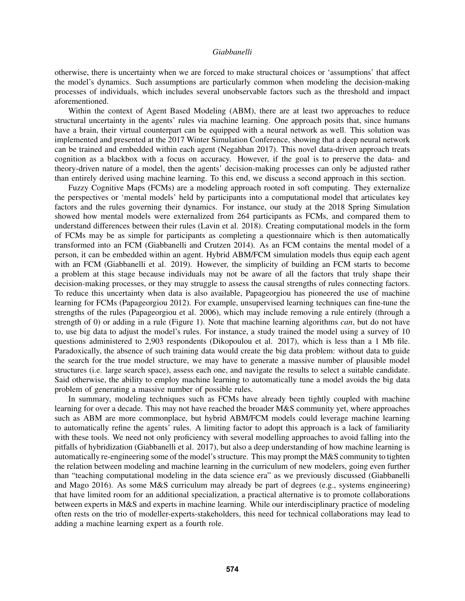otherwise, there is uncertainty when we are forced to make structural choices or 'assumptions' that affect the model's dynamics. Such assumptions are particularly common when modeling the decision-making processes of individuals, which includes several unobservable factors such as the threshold and impact aforementioned.

Within the context of Agent Based Modeling (ABM), there are at least two approaches to reduce structural uncertainty in the agents' rules via machine learning. One approach posits that, since humans have a brain, their virtual counterpart can be equipped with a neural network as well. This solution was implemented and presented at the 2017 Winter Simulation Conference, showing that a deep neural network can be trained and embedded within each agent [\(Negahban 2017\)](#page-11-5). This novel data-driven approach treats cognition as a blackbox with a focus on accuracy. However, if the goal is to preserve the data- and theory-driven nature of a model, then the agents' decision-making processes can only be adjusted rather than entirely derived using machine learning. To this end, we discuss a second approach in this section.

Fuzzy Cognitive Maps (FCMs) are a modeling approach rooted in soft computing. They externalize the perspectives or 'mental models' held by participants into a computational model that articulates key factors and the rules governing their dynamics. For instance, our study at the 2018 Spring Simulation showed how mental models were externalized from 264 participants as FCMs, and compared them to understand differences between their rules [\(Lavin et al. 2018\)](#page-10-4). Creating computational models in the form of FCMs may be as simple for participants as completing a questionnaire which is then automatically transformed into an FCM [\(Giabbanelli and Crutzen 2014\)](#page-10-5). As an FCM contains the mental model of a person, it can be embedded within an agent. Hybrid ABM/FCM simulation models thus equip each agent with an FCM [\(Giabbanelli et al. 2019\)](#page-10-6). However, the simplicity of building an FCM starts to become a problem at this stage because individuals may not be aware of all the factors that truly shape their decision-making processes, or they may struggle to assess the causal strengths of rules connecting factors. To reduce this uncertainty when data is also available, Papageorgiou has pioneered the use of machine learning for FCMs [\(Papageorgiou 2012\)](#page-11-6). For example, unsupervised learning techniques can fine-tune the strengths of the rules [\(Papageorgiou et al. 2006\)](#page-11-7), which may include removing a rule entirely (through a strength of 0) or adding in a rule (Figure [1\)](#page-3-0). Note that machine learning algorithms *can*, but do not have to, use big data to adjust the model's rules. For instance, a study trained the model using a survey of 10 questions administered to 2,903 respondents [\(Dikopoulou et al. 2017\)](#page-9-1), which is less than a 1 Mb file. Paradoxically, the absence of such training data would create the big data problem: without data to guide the search for the true model structure, we may have to generate a massive number of plausible model structures (i.e. large search space), assess each one, and navigate the results to select a suitable candidate. Said otherwise, the ability to employ machine learning to automatically tune a model avoids the big data problem of generating a massive number of possible rules.

In summary, modeling techniques such as FCMs have already been tightly coupled with machine learning for over a decade. This may not have reached the broader M&S community yet, where approaches such as ABM are more commonplace, but hybrid ABM/FCM models could leverage machine learning to automatically refine the agents' rules. A limiting factor to adopt this approach is a lack of familiarity with these tools. We need not only proficiency with several modelling approaches to avoid falling into the pitfalls of hybridization [\(Giabbanelli et al. 2017\)](#page-10-7), but also a deep understanding of how machine learning is automatically re-engineering some of the model's structure. This may prompt the M&S community to tighten the relation between modeling and machine learning in the curriculum of new modelers, going even further than "teaching computational modeling in the data science era" as we previously discussed [\(Giabbanelli](#page-10-8) [and Mago 2016\)](#page-10-8). As some M&S curriculum may already be part of degrees (e.g., systems engineering) that have limited room for an additional specialization, a practical alternative is to promote collaborations between experts in M&S and experts in machine learning. While our interdisciplinary practice of modeling often rests on the trio of modeller-experts-stakeholders, this need for technical collaborations may lead to adding a machine learning expert as a fourth role.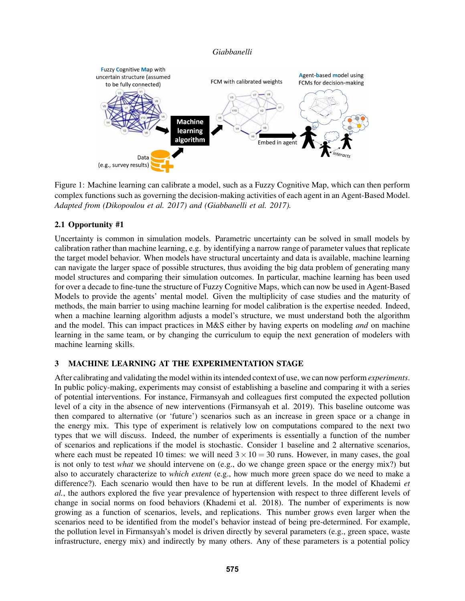

<span id="page-3-0"></span>Figure 1: Machine learning can calibrate a model, such as a Fuzzy Cognitive Map, which can then perform complex functions such as governing the decision-making activities of each agent in an Agent-Based Model. *Adapted from [\(Dikopoulou et al. 2017\)](#page-9-1) and [\(Giabbanelli et al. 2017\)](#page-10-7).*

# 2.1 Opportunity #1

Uncertainty is common in simulation models. Parametric uncertainty can be solved in small models by calibration rather than machine learning, e.g. by identifying a narrow range of parameter values that replicate the target model behavior. When models have structural uncertainty and data is available, machine learning can navigate the larger space of possible structures, thus avoiding the big data problem of generating many model structures and comparing their simulation outcomes. In particular, machine learning has been used for over a decade to fine-tune the structure of Fuzzy Cognitive Maps, which can now be used in Agent-Based Models to provide the agents' mental model. Given the multiplicity of case studies and the maturity of methods, the main barrier to using machine learning for model calibration is the expertise needed. Indeed, when a machine learning algorithm adjusts a model's structure, we must understand both the algorithm and the model. This can impact practices in M&S either by having experts on modeling *and* on machine learning in the same team, or by changing the curriculum to equip the next generation of modelers with machine learning skills.

## 3 MACHINE LEARNING AT THE EXPERIMENTATION STAGE

After calibrating and validating the model within its intended context of use, we can now perform *experiments*. In public policy-making, experiments may consist of establishing a baseline and comparing it with a series of potential interventions. For instance, Firmansyah and colleagues first computed the expected pollution level of a city in the absence of new interventions [\(Firmansyah et al. 2019\)](#page-10-9). This baseline outcome was then compared to alternative (or 'future') scenarios such as an increase in green space or a change in the energy mix. This type of experiment is relatively low on computations compared to the next two types that we will discuss. Indeed, the number of experiments is essentially a function of the number of scenarios and replications if the model is stochastic. Consider 1 baseline and 2 alternative scenarios, where each must be repeated 10 times: we will need  $3 \times 10 = 30$  runs. However, in many cases, the goal is not only to test *what* we should intervene on (e.g., do we change green space or the energy mix?) but also to accurately characterize to *which extent* (e.g., how much more green space do we need to make a difference?). Each scenario would then have to be run at different levels. In the model of Khademi *et al.*, the authors explored the five year prevalence of hypertension with respect to three different levels of change in social norms on food behaviors [\(Khademi et al. 2018\)](#page-10-0). The number of experiments is now growing as a function of scenarios, levels, and replications. This number grows even larger when the scenarios need to be identified from the model's behavior instead of being pre-determined. For example, the pollution level in Firmansyah's model is driven directly by several parameters (e.g., green space, waste infrastructure, energy mix) and indirectly by many others. Any of these parameters is a potential policy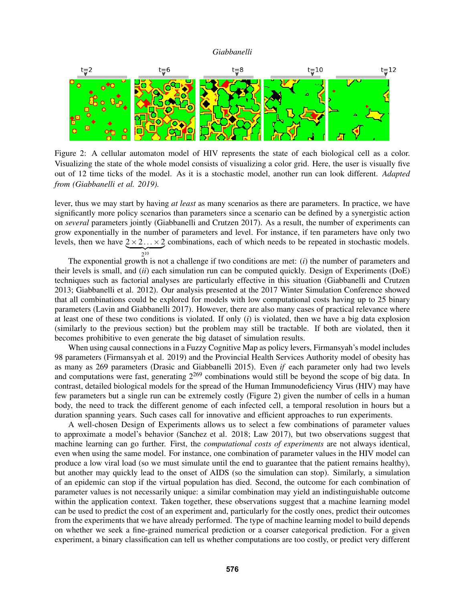

<span id="page-4-0"></span>Figure 2: A cellular automaton model of HIV represents the state of each biological cell as a color. Visualizing the state of the whole model consists of visualizing a color grid. Here, the user is visually five out of 12 time ticks of the model. As it is a stochastic model, another run can look different. *Adapted from [\(Giabbanelli et al. 2019\)](#page-10-10).*

lever, thus we may start by having *at least* as many scenarios as there are parameters. In practice, we have significantly more policy scenarios than parameters since a scenario can be defined by a synergistic action on *several* parameters jointly [\(Giabbanelli and Crutzen 2017\)](#page-10-1). As a result, the number of experiments can grow exponentially in the number of parameters and level. For instance, if ten parameters have only two levels, then we have  $2 \times 2 \times 2$  combinations, each of which needs to be repeated in stochastic models.  ${2^{10}}$ 

The exponential growth is not a challenge if two conditions are met: (*i*) the number of parameters and their levels is small, and (*ii*) each simulation run can be computed quickly. Design of Experiments (DoE) techniques such as factorial analyses are particularly effective in this situation [\(Giabbanelli and Crutzen](#page-10-11) [2013;](#page-10-11) [Giabbanelli et al. 2012\)](#page-10-2). Our analysis presented at the 2017 Winter Simulation Conference showed that all combinations could be explored for models with low computational costs having up to 25 binary parameters [\(Lavin and Giabbanelli 2017\)](#page-10-12). However, there are also many cases of practical relevance where at least one of these two conditions is violated. If only (*i*) is violated, then we have a big data explosion (similarly to the previous section) but the problem may still be tractable. If both are violated, then it becomes prohibitive to even generate the big dataset of simulation results.

When using causal connections in a Fuzzy Cognitive Map as policy levers, Firmansyah's model includes 98 parameters [\(Firmansyah et al. 2019\)](#page-10-9) and the Provincial Health Services Authority model of obesity has as many as 269 parameters [\(Drasic and Giabbanelli 2015\)](#page-10-13). Even *if* each parameter only had two levels and computations were fast, generating  $2^{269}$  combinations would still be beyond the scope of big data. In contrast, detailed biological models for the spread of the Human Immunodeficiency Virus (HIV) may have few parameters but a single run can be extremely costly (Figure [2\)](#page-4-0) given the number of cells in a human body, the need to track the different genome of each infected cell, a temporal resolution in hours but a duration spanning years. Such cases call for innovative and efficient approaches to run experiments.

A well-chosen Design of Experiments allows us to select a few combinations of parameter values to approximate a model's behavior [\(Sanchez et al. 2018;](#page-11-8) [Law 2017\)](#page-11-9), but two observations suggest that machine learning can go further. First, the *computational costs of experiments* are not always identical, even when using the same model. For instance, one combination of parameter values in the HIV model can produce a low viral load (so we must simulate until the end to guarantee that the patient remains healthy), but another may quickly lead to the onset of AIDS (so the simulation can stop). Similarly, a simulation of an epidemic can stop if the virtual population has died. Second, the outcome for each combination of parameter values is not necessarily unique: a similar combination may yield an indistinguishable outcome within the application context. Taken together, these observations suggest that a machine learning model can be used to predict the cost of an experiment and, particularly for the costly ones, predict their outcomes from the experiments that we have already performed. The type of machine learning model to build depends on whether we seek a fine-grained numerical prediction or a coarser categorical prediction. For a given experiment, a binary classification can tell us whether computations are too costly, or predict very different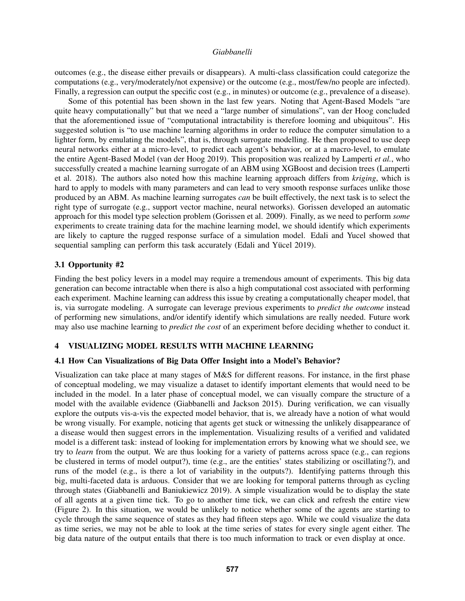outcomes (e.g., the disease either prevails or disappears). A multi-class classification could categorize the computations (e.g., very/moderately/not expensive) or the outcome (e.g., most/few/no people are infected). Finally, a regression can output the specific cost (e.g., in minutes) or outcome (e.g., prevalence of a disease).

Some of this potential has been shown in the last few years. Noting that Agent-Based Models "are quite heavy computationally" but that we need a "large number of simulations", van der Hoog concluded that the aforementioned issue of "computational intractability is therefore looming and ubiquitous". His suggested solution is "to use machine learning algorithms in order to reduce the computer simulation to a lighter form, by emulating the models", that is, through surrogate modelling. He then proposed to use deep neural networks either at a micro-level, to predict each agent's behavior, or at a macro-level, to emulate the entire Agent-Based Model [\(van der Hoog 2019\)](#page-11-10). This proposition was realized by Lamperti *et al.*, who successfully created a machine learning surrogate of an ABM using XGBoost and decision trees [\(Lamperti](#page-10-14) [et al. 2018\)](#page-10-14). The authors also noted how this machine learning approach differs from *kriging*, which is hard to apply to models with many parameters and can lead to very smooth response surfaces unlike those produced by an ABM. As machine learning surrogates *can* be built effectively, the next task is to select the right type of surrogate (e.g., support vector machine, neural networks). Gorissen developed an automatic approach for this model type selection problem [\(Gorissen et al. 2009\)](#page-10-15). Finally, as we need to perform *some* experiments to create training data for the machine learning model, we should identify which experiments are likely to capture the rugged response surface of a simulation model. Edali and Yucel showed that sequential sampling can perform this task accurately (Edali and Yücel 2019).

## 3.1 Opportunity #2

Finding the best policy levers in a model may require a tremendous amount of experiments. This big data generation can become intractable when there is also a high computational cost associated with performing each experiment. Machine learning can address this issue by creating a computationally cheaper model, that is, via surrogate modeling. A surrogate can leverage previous experiments to *predict the outcome* instead of performing new simulations, and/or identify identify which simulations are really needed. Future work may also use machine learning to *predict the cost* of an experiment before deciding whether to conduct it.

# 4 VISUALIZING MODEL RESULTS WITH MACHINE LEARNING

# 4.1 How Can Visualizations of Big Data Offer Insight into a Model's Behavior?

Visualization can take place at many stages of M&S for different reasons. For instance, in the first phase of conceptual modeling, we may visualize a dataset to identify important elements that would need to be included in the model. In a later phase of conceptual model, we can visually compare the structure of a model with the available evidence [\(Giabbanelli and Jackson 2015\)](#page-10-17). During verification, we can visually explore the outputs vis-a-vis the expected model behavior, that is, we already have a notion of what would be wrong visually. For example, noticing that agents get stuck or witnessing the unlikely disappearance of a disease would then suggest errors in the implementation. Visualizing results of a verified and validated model is a different task: instead of looking for implementation errors by knowing what we should see, we try to *learn* from the output. We are thus looking for a variety of patterns across space (e.g., can regions be clustered in terms of model output?), time (e.g., are the entities' states stabilizing or oscillating?), and runs of the model (e.g., is there a lot of variability in the outputs?). Identifying patterns through this big, multi-faceted data is arduous. Consider that we are looking for temporal patterns through as cycling through states [\(Giabbanelli and Baniukiewicz 2019\)](#page-10-18). A simple visualization would be to display the state of all agents at a given time tick. To go to another time tick, we can click and refresh the entire view (Figure [2\)](#page-4-0). In this situation, we would be unlikely to notice whether some of the agents are starting to cycle through the same sequence of states as they had fifteen steps ago. While we could visualize the data as time series, we may not be able to look at the time series of states for every single agent either. The big data nature of the output entails that there is too much information to track or even display at once.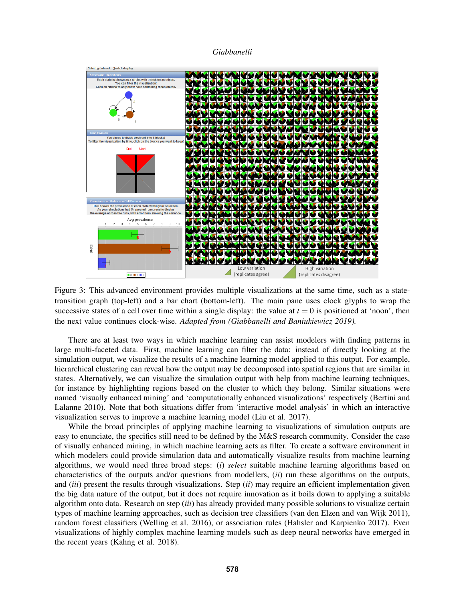

<span id="page-6-0"></span>Figure 3: This advanced environment provides multiple visualizations at the same time, such as a statetransition graph (top-left) and a bar chart (bottom-left). The main pane uses clock glyphs to wrap the successive states of a cell over time within a single display: the value at  $t = 0$  is positioned at 'noon', then the next value continues clock-wise. *Adapted from [\(Giabbanelli and Baniukiewicz 2019\)](#page-10-18).*

There are at least two ways in which machine learning can assist modelers with finding patterns in large multi-faceted data. First, machine learning can filter the data: instead of directly looking at the simulation output, we visualize the results of a machine learning model applied to this output. For example, hierarchical clustering can reveal how the output may be decomposed into spatial regions that are similar in states. Alternatively, we can visualize the simulation output with help from machine learning techniques, for instance by highlighting regions based on the cluster to which they belong. Similar situations were named 'visually enhanced mining' and 'computationally enhanced visualizations' respectively [\(Bertini and](#page-9-2) [Lalanne 2010\)](#page-9-2). Note that both situations differ from 'interactive model analysis' in which an interactive visualization serves to improve a machine learning model [\(Liu et al. 2017\)](#page-11-11).

While the broad principles of applying machine learning to visualizations of simulation outputs are easy to enunciate, the specifics still need to be defined by the M&S research community. Consider the case of visually enhanced mining, in which machine learning acts as filter. To create a software environment in which modelers could provide simulation data and automatically visualize results from machine learning algorithms, we would need three broad steps: (*i*) *select* suitable machine learning algorithms based on characteristics of the outputs and/or questions from modellers, (*ii*) run these algorithms on the outputs, and (*iii*) present the results through visualizations. Step (*ii*) may require an efficient implementation given the big data nature of the output, but it does not require innovation as it boils down to applying a suitable algorithm onto data. Research on step (*iii*) has already provided many possible solutions to visualize certain types of machine learning approaches, such as decision tree classifiers [\(van den Elzen and van Wijk 2011\)](#page-11-12), random forest classifiers [\(Welling et al. 2016\)](#page-11-13), or association rules [\(Hahsler and Karpienko 2017\)](#page-10-19). Even visualizations of highly complex machine learning models such as deep neural networks have emerged in the recent years [\(Kahng et al. 2018\)](#page-10-20).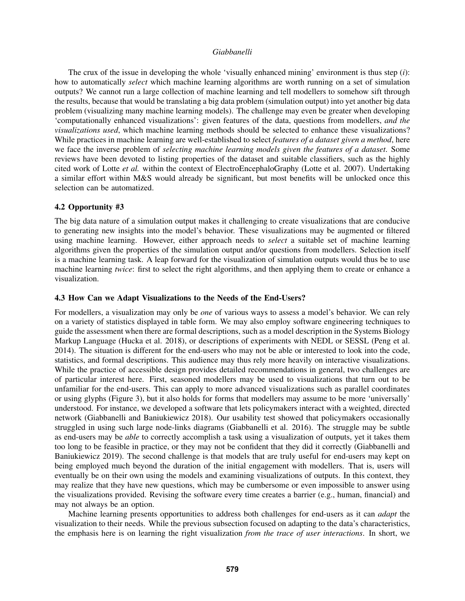The crux of the issue in developing the whole 'visually enhanced mining' environment is thus step (*i*): how to automatically *select* which machine learning algorithms are worth running on a set of simulation outputs? We cannot run a large collection of machine learning and tell modellers to somehow sift through the results, because that would be translating a big data problem (simulation output) into yet another big data problem (visualizing many machine learning models). The challenge may even be greater when developing 'computationally enhanced visualizations': given features of the data, questions from modellers, *and the visualizations used*, which machine learning methods should be selected to enhance these visualizations? While practices in machine learning are well-established to select *features of a dataset given a method*, here we face the inverse problem of *selecting machine learning models given the features of a dataset*. Some reviews have been devoted to listing properties of the dataset and suitable classifiers, such as the highly cited work of Lotte *et al.* within the context of ElectroEncephaloGraphy [\(Lotte et al. 2007\)](#page-11-14). Undertaking a similar effort within M&S would already be significant, but most benefits will be unlocked once this selection can be automatized.

## 4.2 Opportunity #3

The big data nature of a simulation output makes it challenging to create visualizations that are conducive to generating new insights into the model's behavior. These visualizations may be augmented or filtered using machine learning. However, either approach needs to *select* a suitable set of machine learning algorithms given the properties of the simulation output and/or questions from modellers. Selection itself is a machine learning task. A leap forward for the visualization of simulation outputs would thus be to use machine learning *twice*: first to select the right algorithms, and then applying them to create or enhance a visualization.

## 4.3 How Can we Adapt Visualizations to the Needs of the End-Users?

For modellers, a visualization may only be *one* of various ways to assess a model's behavior. We can rely on a variety of statistics displayed in table form. We may also employ software engineering techniques to guide the assessment when there are formal descriptions, such as a model description in the Systems Biology Markup Language [\(Hucka et al. 2018\)](#page-10-21), or descriptions of experiments with NEDL or SESSL [\(Peng et al.](#page-11-15) [2014\)](#page-11-15). The situation is different for the end-users who may not be able or interested to look into the code, statistics, and formal descriptions. This audience may thus rely more heavily on interactive visualizations. While the practice of accessible design provides detailed recommendations in general, two challenges are of particular interest here. First, seasoned modellers may be used to visualizations that turn out to be unfamiliar for the end-users. This can apply to more advanced visualizations such as parallel coordinates or using glyphs (Figure [3\)](#page-6-0), but it also holds for forms that modellers may assume to be more 'universally' understood. For instance, we developed a software that lets policymakers interact with a weighted, directed network [\(Giabbanelli and Baniukiewicz 2018\)](#page-10-22). Our usability test showed that policymakers occasionally struggled in using such large node-links diagrams [\(Giabbanelli et al. 2016\)](#page-10-23). The struggle may be subtle as end-users may be *able* to correctly accomplish a task using a visualization of outputs, yet it takes them too long to be feasible in practice, or they may not be confident that they did it correctly [\(Giabbanelli and](#page-10-18) [Baniukiewicz 2019\)](#page-10-18). The second challenge is that models that are truly useful for end-users may kept on being employed much beyond the duration of the initial engagement with modellers. That is, users will eventually be on their own using the models and examining visualizations of outputs. In this context, they may realize that they have new questions, which may be cumbersome or even impossible to answer using the visualizations provided. Revising the software every time creates a barrier (e.g., human, financial) and may not always be an option.

Machine learning presents opportunities to address both challenges for end-users as it can *adapt* the visualization to their needs. While the previous subsection focused on adapting to the data's characteristics, the emphasis here is on learning the right visualization *from the trace of user interactions*. In short, we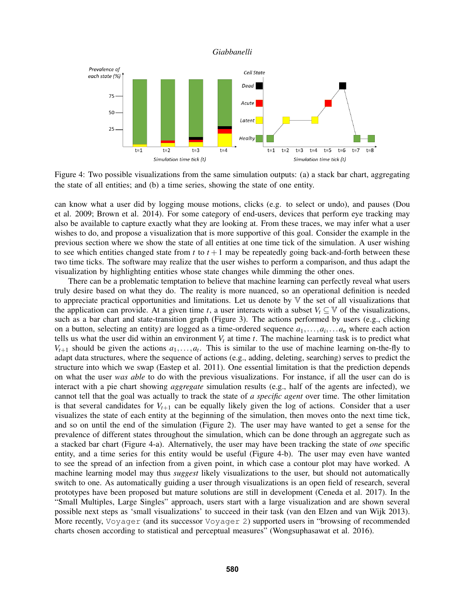

<span id="page-8-0"></span>Figure 4: Two possible visualizations from the same simulation outputs: (a) a stack bar chart, aggregating the state of all entities; and (b) a time series, showing the state of one entity.

can know what a user did by logging mouse motions, clicks (e.g. to select or undo), and pauses [\(Dou](#page-9-3) [et al. 2009;](#page-9-3) [Brown et al. 2014\)](#page-9-4). For some category of end-users, devices that perform eye tracking may also be available to capture exactly what they are looking at. From these traces, we may infer what a user wishes to do, and propose a visualization that is more supportive of this goal. Consider the example in the previous section where we show the state of all entities at one time tick of the simulation. A user wishing to see which entities changed state from  $t$  to  $t+1$  may be repeatedly going back-and-forth between these two time ticks. The software may realize that the user wishes to perform a comparison, and thus adapt the visualization by highlighting entities whose state changes while dimming the other ones.

There can be a problematic temptation to believe that machine learning can perfectly reveal what users truly desire based on what they do. The reality is more nuanced, so an operational definition is needed to appreciate practical opportunities and limitations. Let us denote by  $V$  the set of all visualizations that the application can provide. At a given time *t*, a user interacts with a subset  $V_t \subseteq V$  of the visualizations, such as a bar chart and state-transition graph (Figure [3\)](#page-6-0). The actions performed by users (e.g., clicking on a button, selecting an entity) are logged as a time-ordered sequence  $a_1, \ldots, a_i, \ldots, a_n$  where each action tells us what the user did within an environment  $V_t$  at time  $t$ . The machine learning task is to predict what  $V_{t+1}$  should be given the actions  $a_1, \ldots, a_t$ . This is similar to the use of machine learning on-the-fly to adapt data structures, where the sequence of actions (e.g., adding, deleting, searching) serves to predict the structure into which we swap [\(Eastep et al. 2011\)](#page-10-24). One essential limitation is that the prediction depends on what the user *was able* to do with the previous visualizations. For instance, if all the user can do is interact with a pie chart showing *aggregate* simulation results (e.g., half of the agents are infected), we cannot tell that the goal was actually to track the state of *a specific agent* over time. The other limitation is that several candidates for  $V_{t+1}$  can be equally likely given the log of actions. Consider that a user visualizes the state of each entity at the beginning of the simulation, then moves onto the next time tick, and so on until the end of the simulation (Figure [2\)](#page-4-0). The user may have wanted to get a sense for the prevalence of different states throughout the simulation, which can be done through an aggregate such as a stacked bar chart (Figure [4-](#page-8-0)a). Alternatively, the user may have been tracking the state of *one* specific entity, and a time series for this entity would be useful (Figure [4-](#page-8-0)b). The user may even have wanted to see the spread of an infection from a given point, in which case a contour plot may have worked. A machine learning model may thus *suggest* likely visualizations to the user, but should not automatically switch to one. As automatically guiding a user through visualizations is an open field of research, several prototypes have been proposed but mature solutions are still in development [\(Ceneda et al. 2017\)](#page-9-5). In the "Small Multiples, Large Singles" approach, users start with a large visualization and are shown several possible next steps as 'small visualizations' to succeed in their task [\(van den Elzen and van Wijk 2013\)](#page-11-16). More recently, Voyager (and its successor Voyager 2) supported users in "browsing of recommended charts chosen according to statistical and perceptual measures" [\(Wongsuphasawat et al. 2016\)](#page-11-17).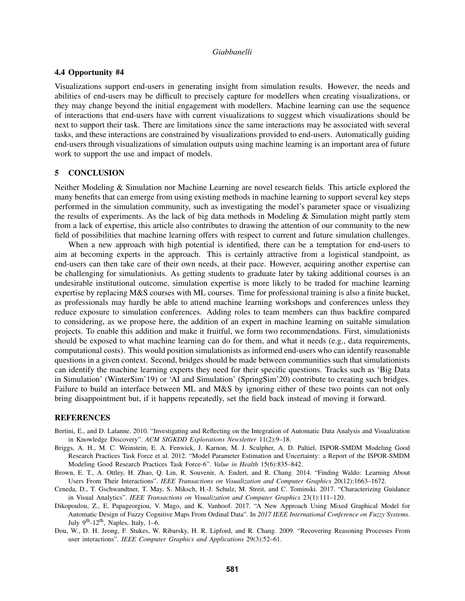## 4.4 Opportunity #4

Visualizations support end-users in generating insight from simulation results. However, the needs and abilities of end-users may be difficult to precisely capture for modellers when creating visualizations, or they may change beyond the initial engagement with modellers. Machine learning can use the sequence of interactions that end-users have with current visualizations to suggest which visualizations should be next to support their task. There are limitations since the same interactions may be associated with several tasks, and these interactions are constrained by visualizations provided to end-users. Automatically guiding end-users through visualizations of simulation outputs using machine learning is an important area of future work to support the use and impact of models.

# 5 CONCLUSION

Neither Modeling & Simulation nor Machine Learning are novel research fields. This article explored the many benefits that can emerge from using existing methods in machine learning to support several key steps performed in the simulation community, such as investigating the model's parameter space or visualizing the results of experiments. As the lack of big data methods in Modeling  $\&$  Simulation might partly stem from a lack of expertise, this article also contributes to drawing the attention of our community to the new field of possibilities that machine learning offers with respect to current and future simulation challenges.

When a new approach with high potential is identified, there can be a temptation for end-users to aim at becoming experts in the approach. This is certainly attractive from a logistical standpoint, as end-users can then take care of their own needs, at their pace. However, acquiring another expertise can be challenging for simulationists. As getting students to graduate later by taking additional courses is an undesirable institutional outcome, simulation expertise is more likely to be traded for machine learning expertise by replacing M&S courses with ML courses. Time for professional training is also a finite bucket, as professionals may hardly be able to attend machine learning workshops and conferences unless they reduce exposure to simulation conferences. Adding roles to team members can thus backfire compared to considering, as we propose here, the addition of an expert in machine learning on suitable simulation projects. To enable this addition and make it fruitful, we form two recommendations. First, simulationists should be exposed to what machine learning can do for them, and what it needs (e.g., data requirements, computational costs). This would position simulationists as informed end-users who can identify reasonable questions in a given context. Second, bridges should be made between communities such that simulationists can identify the machine learning experts they need for their specific questions. Tracks such as 'Big Data in Simulation' (WinterSim'19) or 'AI and Simulation' (SpringSim'20) contribute to creating such bridges. Failure to build an interface between ML and M&S by ignoring either of these two points can not only bring disappointment but, if it happens repeatedly, set the field back instead of moving it forward.

### REFERENCES

- <span id="page-9-2"></span>Bertini, E., and D. Lalanne. 2010. "Investigating and Reflecting on the Integration of Automatic Data Analysis and Visualization in Knowledge Discovery". *ACM SIGKDD Explorations Newsletter* 11(2):9–18.
- <span id="page-9-0"></span>Briggs, A. H., M. C. Weinstein, E. A. Fenwick, J. Karnon, M. J. Sculpher, A. D. Paltiel, ISPOR-SMDM Modeling Good Research Practices Task Force et al. 2012. "Model Parameter Estimation and Uncertainty: a Report of the ISPOR-SMDM Modeling Good Research Practices Task Force-6". *Value in Health* 15(6):835–842.
- <span id="page-9-4"></span>Brown, E. T., A. Ottley, H. Zhao, Q. Lin, R. Souvenir, A. Endert, and R. Chang. 2014. "Finding Waldo: Learning About Users From Their Interactions". *IEEE Transactions on Visualization and Computer Graphics* 20(12):1663–1672.
- <span id="page-9-5"></span>Ceneda, D., T. Gschwandtner, T. May, S. Miksch, H.-J. Schulz, M. Streit, and C. Tominski. 2017. "Characterizing Guidance in Visual Analytics". *IEEE Transactions on Visualization and Computer Graphics* 23(1):111–120.
- <span id="page-9-1"></span>Dikopoulou, Z., E. Papageorgiou, V. Mago, and K. Vanhoof. 2017. "A New Approach Using Mixed Graphical Model for Automatic Design of Fuzzy Cognitive Maps From Ordinal Data". In *2017 IEEE International Conference on Fuzzy Systems*. July  $9<sup>th</sup>-12<sup>th</sup>$ , Naples, Italy, 1–6.
- <span id="page-9-3"></span>Dou, W., D. H. Jeong, F. Stukes, W. Ribarsky, H. R. Lipford, and R. Chang. 2009. "Recovering Reasoning Processes From user interactions". *IEEE Computer Graphics and Applications* 29(3):52–61.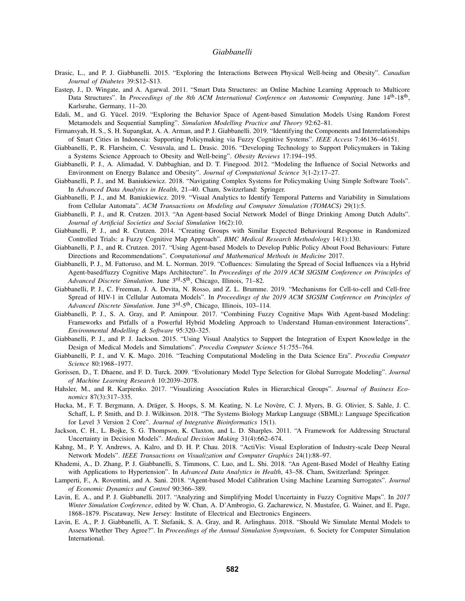- <span id="page-10-13"></span>Drasic, L., and P. J. Giabbanelli. 2015. "Exploring the Interactions Between Physical Well-being and Obesity". *Canadian Journal of Diabetes* 39:S12–S13.
- <span id="page-10-24"></span>Eastep, J., D. Wingate, and A. Agarwal. 2011. "Smart Data Structures: an Online Machine Learning Approach to Multicore Data Structures". In Proceedings of the 8th ACM International Conference on Autonomic Computing. June 14<sup>th</sup>-18<sup>th</sup>, Karlsruhe, Germany, 11–20.
- <span id="page-10-16"></span>Edali, M., and G. Yücel. 2019. "Exploring the Behavior Space of Agent-based Simulation Models Using Random Forest Metamodels and Sequential Sampling". *Simulation Modelling Practice and Theory* 92:62–81.
- <span id="page-10-9"></span>Firmansyah, H. S., S. H. Supangkat, A. A. Arman, and P. J. Giabbanelli. 2019. "Identifying the Components and Interrelationships of Smart Cities in Indonesia: Supporting Policymaking via Fuzzy Cognitive Systems". *IEEE Access* 7:46136–46151.
- <span id="page-10-23"></span>Giabbanelli, P., R. Flarsheim, C. Vesuvala, and L. Drasic. 2016. "Developing Technology to Support Policymakers in Taking a Systems Science Approach to Obesity and Well-being". *Obesity Reviews* 17:194–195.
- <span id="page-10-2"></span>Giabbanelli, P. J., A. Alimadad, V. Dabbaghian, and D. T. Finegood. 2012. "Modeling the Influence of Social Networks and Environment on Energy Balance and Obesity". *Journal of Computational Science* 3(1-2):17–27.
- <span id="page-10-22"></span>Giabbanelli, P. J., and M. Baniukiewicz. 2018. "Navigating Complex Systems for Policymaking Using Simple Software Tools". In *Advanced Data Analytics in Health*, 21–40. Cham, Switzerland: Springer.
- <span id="page-10-18"></span>Giabbanelli, P. J., and M. Baniukiewicz. 2019. "Visual Analytics to Identify Temporal Patterns and Variability in Simulations from Cellular Automata". *ACM Transactions on Modeling and Computer Simulation (TOMACS)* 29(1):5.
- <span id="page-10-11"></span>Giabbanelli, P. J., and R. Crutzen. 2013. "An Agent-based Social Network Model of Binge Drinking Among Dutch Adults". *Journal of Artificial Societies and Social Simulation* 16(2):10.
- <span id="page-10-5"></span>Giabbanelli, P. J., and R. Crutzen. 2014. "Creating Groups with Similar Expected Behavioural Response in Randomized Controlled Trials: a Fuzzy Cognitive Map Approach". *BMC Medical Research Methodology* 14(1):130.
- <span id="page-10-1"></span>Giabbanelli, P. J., and R. Crutzen. 2017. "Using Agent-based Models to Develop Public Policy About Food Behaviours: Future Directions and Recommendations". *Computational and Mathematical Methods in Medicine* 2017.
- <span id="page-10-6"></span>Giabbanelli, P. J., M. Fattoruso, and M. L. Norman. 2019. "Cofluences: Simulating the Spread of Social Influences via a Hybrid Agent-based/fuzzy Cognitive Maps Architecture". In *Proceedings of the 2019 ACM SIGSIM Conference on Principles of Advanced Discrete Simulation*. June 3rd-5th, Chicago, Illinois, 71–82.
- <span id="page-10-10"></span>Giabbanelli, P. J., C. Freeman, J. A. Devita, N. Rosso, and Z. L. Brumme. 2019. "Mechanisms for Cell-to-cell and Cell-free Spread of HIV-1 in Cellular Automata Models". In *Proceedings of the 2019 ACM SIGSIM Conference on Principles of Advanced Discrete Simulation*. June 3rd-5th, Chicago, Illinois, 103–114.
- <span id="page-10-7"></span>Giabbanelli, P. J., S. A. Gray, and P. Aminpour. 2017. "Combining Fuzzy Cognitive Maps With Agent-based Modeling: Frameworks and Pitfalls of a Powerful Hybrid Modeling Approach to Understand Human-environment Interactions". *Environmental Modelling & Software* 95:320–325.
- <span id="page-10-17"></span>Giabbanelli, P. J., and P. J. Jackson. 2015. "Using Visual Analytics to Support the Integration of Expert Knowledge in the Design of Medical Models and Simulations". *Procedia Computer Science* 51:755–764.
- <span id="page-10-8"></span>Giabbanelli, P. J., and V. K. Mago. 2016. "Teaching Computational Modeling in the Data Science Era". *Procedia Computer Science* 80:1968–1977.
- <span id="page-10-15"></span>Gorissen, D., T. Dhaene, and F. D. Turck. 2009. "Evolutionary Model Type Selection for Global Surrogate Modeling". *Journal of Machine Learning Research* 10:2039–2078.
- <span id="page-10-19"></span>Hahsler, M., and R. Karpienko. 2017. "Visualizing Association Rules in Hierarchical Groups". *Journal of Business Economics* 87(3):317–335.
- <span id="page-10-21"></span>Hucka, M., F. T. Bergmann, A. Dräger, S. Hoops, S. M. Keating, N. Le Novère, C. J. Myers, B. G. Olivier, S. Sahle, J. C. Schaff, L. P. Smith, and D. J. Wilkinson. 2018. "The Systems Biology Markup Language (SBML): Language Specification for Level 3 Version 2 Core". *Journal of Integrative Bioinformatics* 15(1).
- <span id="page-10-3"></span>Jackson, C. H., L. Bojke, S. G. Thompson, K. Claxton, and L. D. Sharples. 2011. "A Framework for Addressing Structural Uncertainty in Decision Models". *Medical Decision Making* 31(4):662–674.
- <span id="page-10-20"></span>Kahng, M., P. Y. Andrews, A. Kalro, and D. H. P. Chau. 2018. "ActiVis: Visual Exploration of Industry-scale Deep Neural Network Models". *IEEE Transactions on Visualization and Computer Graphics* 24(1):88–97.
- <span id="page-10-0"></span>Khademi, A., D. Zhang, P. J. Giabbanelli, S. Timmons, C. Luo, and L. Shi. 2018. "An Agent-Based Model of Healthy Eating with Applications to Hypertension". In *Advanced Data Analytics in Health*, 43–58. Cham, Switzerland: Springer.
- <span id="page-10-14"></span>Lamperti, F., A. Roventini, and A. Sani. 2018. "Agent-based Model Calibration Using Machine Learning Surrogates". *Journal of Economic Dynamics and Control* 90:366–389.
- <span id="page-10-12"></span>Lavin, E. A., and P. J. Giabbanelli. 2017. "Analyzing and Simplifying Model Uncertainty in Fuzzy Cognitive Maps". In *2017 Winter Simulation Conference*, edited by W. Chan, A. D'Ambrogio, G. Zacharewicz, N. Mustafee, G. Wainer, and E. Page, 1868–1879. Piscataway, New Jersey: Institute of Electrical and Electronics Engineers.
- <span id="page-10-4"></span>Lavin, E. A., P. J. Giabbanelli, A. T. Stefanik, S. A. Gray, and R. Arlinghaus. 2018. "Should We Simulate Mental Models to Assess Whether They Agree?". In *Proceedings of the Annual Simulation Symposium*, 6. Society for Computer Simulation International.